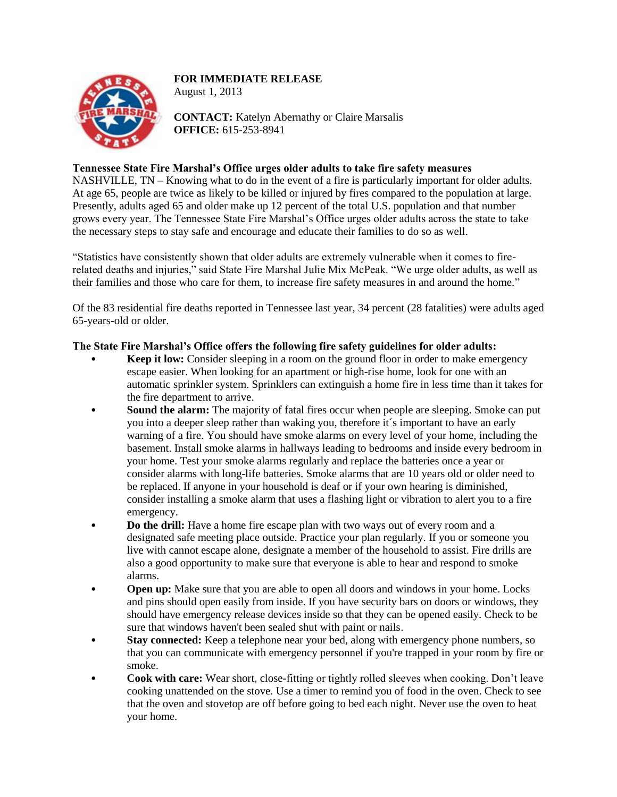## **FOR IMMEDIATE RELEASE**



August 1, 2013

**CONTACT:** Katelyn Abernathy or Claire Marsalis **OFFICE:** 615-253-8941

## **Tennessee State Fire Marshal's Office urges older adults to take fire safety measures**

NASHVILLE, TN – Knowing what to do in the event of a fire is particularly important for older adults. At age 65, people are twice as likely to be killed or injured by fires compared to the population at large. Presently, adults aged 65 and older make up 12 percent of the total U.S. population and that number grows every year. The Tennessee State Fire Marshal's Office urges older adults across the state to take the necessary steps to stay safe and encourage and educate their families to do so as well.

"Statistics have consistently shown that older adults are extremely vulnerable when it comes to firerelated deaths and injuries," said State Fire Marshal Julie Mix McPeak. "We urge older adults, as well as their families and those who care for them, to increase fire safety measures in and around the home."

Of the 83 residential fire deaths reported in Tennessee last year, 34 percent (28 fatalities) were adults aged 65-years-old or older.

## **The State Fire Marshal's Office offers the following fire safety guidelines for older adults:**

- **Keep it low:** Consider sleeping in a room on the ground floor in order to make emergency escape easier. When looking for an apartment or high-rise home, look for one with an automatic sprinkler system. Sprinklers can extinguish a home fire in less time than it takes for the fire department to arrive.
- **Sound the alarm:** The majority of fatal fires occur when people are sleeping. Smoke can put you into a deeper sleep rather than waking you, therefore it´s important to have an early warning of a fire. You should have smoke alarms on every level of your home, including the basement. Install smoke alarms in hallways leading to bedrooms and inside every bedroom in your home. Test your smoke alarms regularly and replace the batteries once a year or consider alarms with long-life batteries. Smoke alarms that are 10 years old or older need to be replaced. If anyone in your household is deaf or if your own hearing is diminished, consider installing a smoke alarm that uses a flashing light or vibration to alert you to a fire emergency.
- **Do the drill:** Have a home fire escape plan with two ways out of every room and a designated safe meeting place outside. Practice your plan regularly. If you or someone you live with cannot escape alone, designate a member of the household to assist. Fire drills are also a good opportunity to make sure that everyone is able to hear and respond to smoke alarms.
- **Open up:** Make sure that you are able to open all doors and windows in your home. Locks and pins should open easily from inside. If you have security bars on doors or windows, they should have emergency release devices inside so that they can be opened easily. Check to be sure that windows haven't been sealed shut with paint or nails.
- **Stay connected:** Keep a telephone near your bed, along with emergency phone numbers, so that you can communicate with emergency personnel if you're trapped in your room by fire or smoke.
- **Cook with care:** Wear short, close-fitting or tightly rolled sleeves when cooking. Don't leave cooking unattended on the stove. Use a timer to remind you of food in the oven. Check to see that the oven and stovetop are off before going to bed each night. Never use the oven to heat your home.